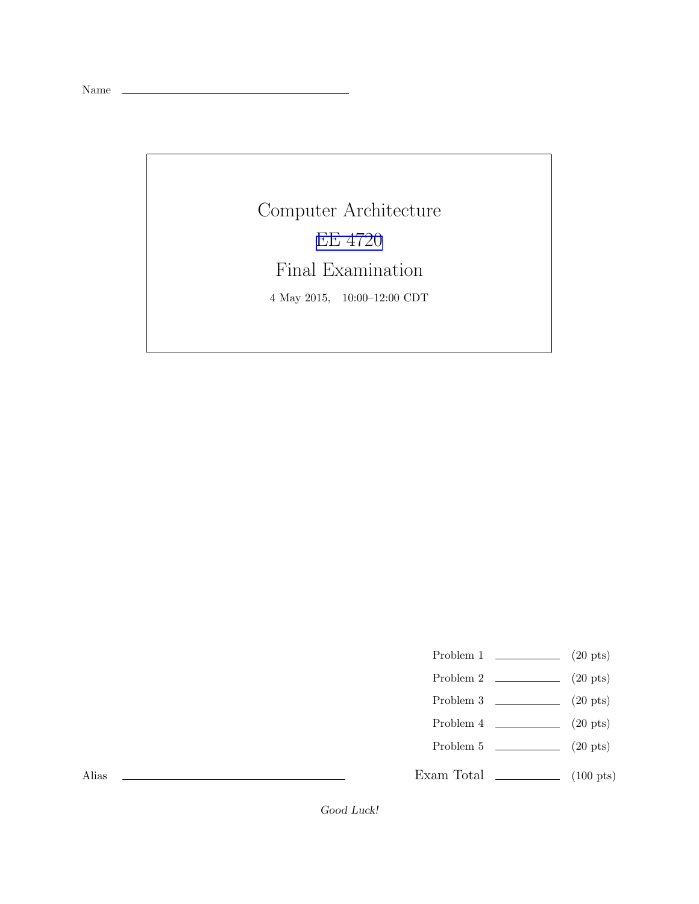Name

Computer Architecture [EE 4720](http://www.ece.lsu.edu/ee4720/) Final Examination 4 May 2015, 10:00–12:00 CDT

Problem 1  $\qquad \qquad (20 \text{ pts})$ 

- Problem 2  $\qquad \qquad$  (20 pts)
- Problem 3  $\qquad \qquad (20 \text{ pts})$
- Problem 4  $\qquad \qquad (20 \text{ pts})$
- Problem 5  $\sqrt{20 \text{ pts}}$

Exam Total \_\_\_\_\_\_\_\_\_\_\_\_\_ (100 pts)

Alias

Good Luck!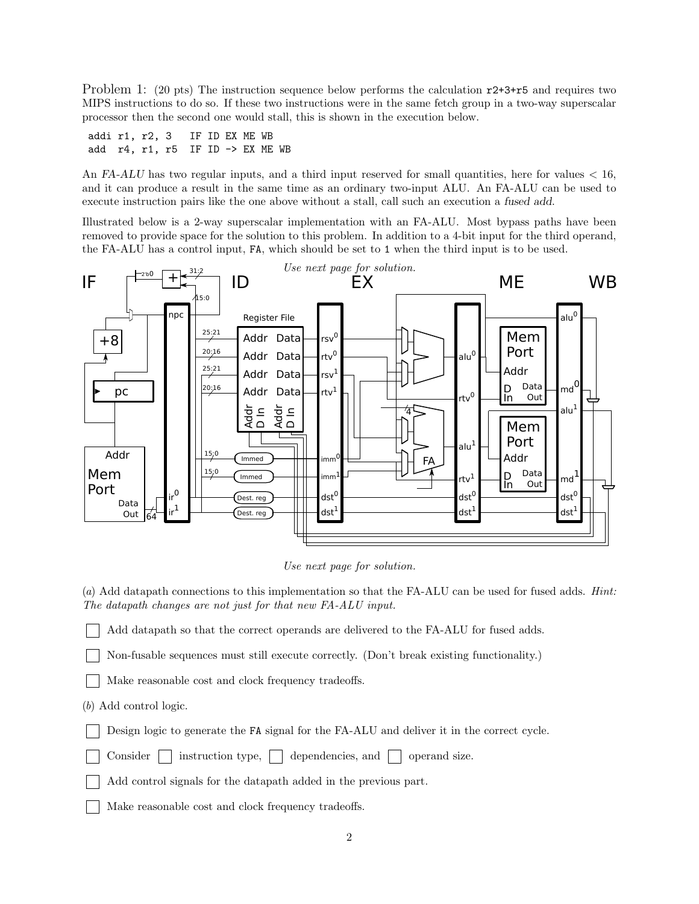Problem 1: (20 pts) The instruction sequence below performs the calculation  $r^2+3+r^2$  and requires two MIPS instructions to do so. If these two instructions were in the same fetch group in a two-way superscalar processor then the second one would stall, this is shown in the execution below.

addi r1, r2, 3 IF ID EX ME WB add r4, r1, r5 IF ID -> EX ME WB

An FA-ALU has two regular inputs, and a third input reserved for small quantities, here for values  $< 16$ , and it can produce a result in the same time as an ordinary two-input ALU. An FA-ALU can be used to execute instruction pairs like the one above without a stall, call such an execution a fused add.

Illustrated below is a 2-way superscalar implementation with an FA-ALU. Most bypass paths have been removed to provide space for the solution to this problem. In addition to a 4-bit input for the third operand, the FA-ALU has a control input, FA, which should be set to 1 when the third input is to be used.



*Use next page for solution.*

(*a*) Add datapath connections to this implementation so that the FA-ALU can be used for fused adds. *Hint: The datapath changes are not just for that new FA-ALU input.*

Add datapath so that the correct operands are delivered to the FA-ALU for fused adds.

Non-fusable sequences must still execute correctly. (Don't break existing functionality.)

Make reasonable cost and clock frequency tradeoffs.

(*b*) Add control logic.

Design logic to generate the FA signal for the FA-ALU and deliver it in the correct cycle.

Consider  $\vert$  instruction type,  $\vert$  dependencies, and  $\vert$  operand size.

Add control signals for the datapath added in the previous part.

Make reasonable cost and clock frequency tradeoffs.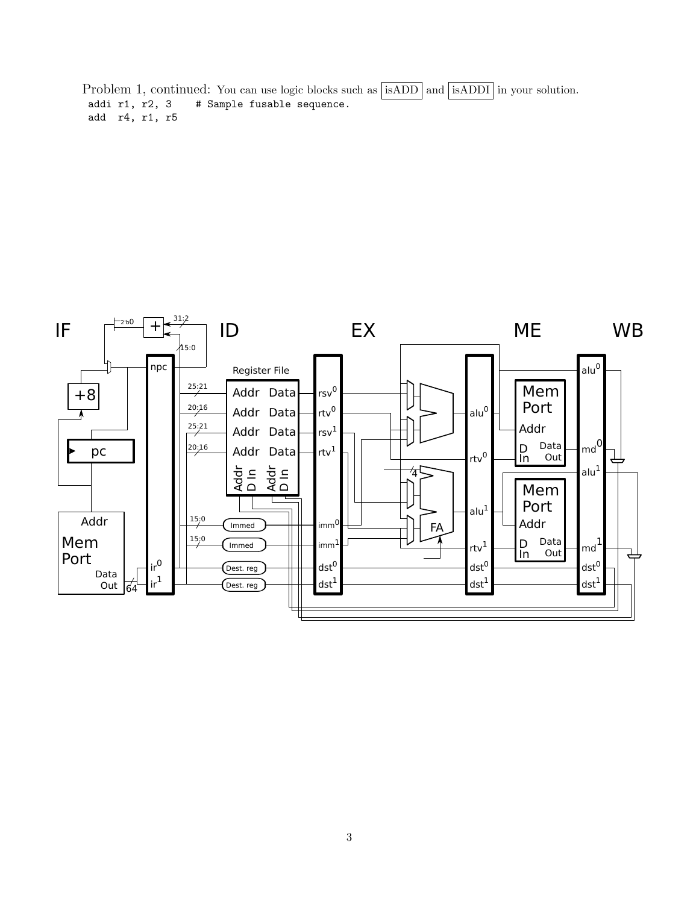Problem 1, continued: You can use logic blocks such as  $\sqrt{\text{isADD}}$  and  $\sqrt{\text{isADD}}$  in your solution. addi r1, r2, 3 # Sample fusable sequence. add r4, r1, r5

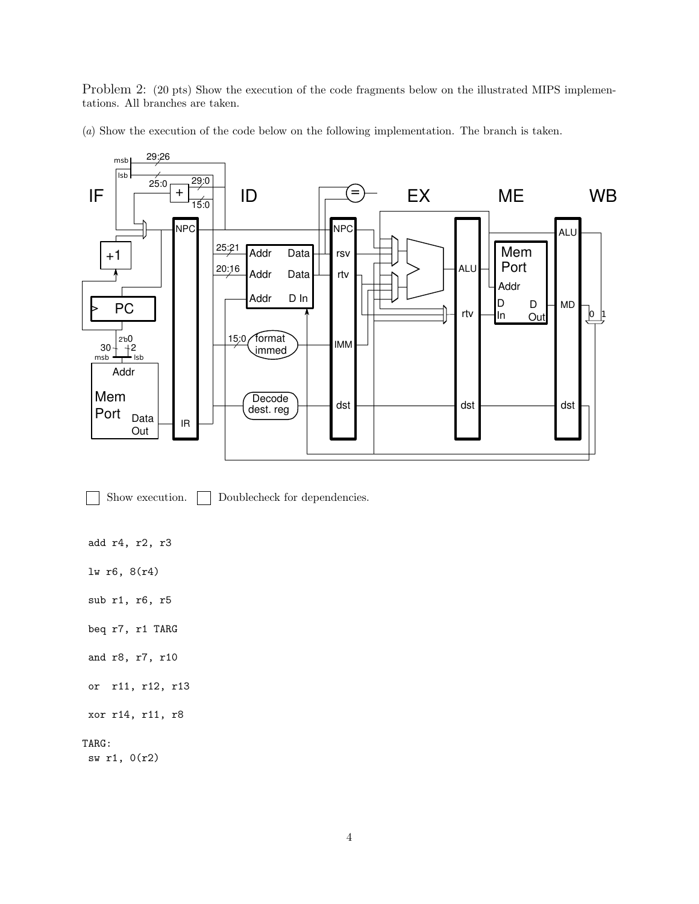Problem 2: (20 pts) Show the execution of the code fragments below on the illustrated MIPS implementations. All branches are taken.

(*a*) Show the execution of the code below on the following implementation. The branch is taken.



Show execution. Doublecheck for dependencies.

add r4, r2, r3

lw r6, 8(r4)

sub r1, r6, r5

beq r7, r1 TARG

and r8, r7, r10

or r11, r12, r13

xor r14, r11, r8

## TARG:

sw r1, 0(r2)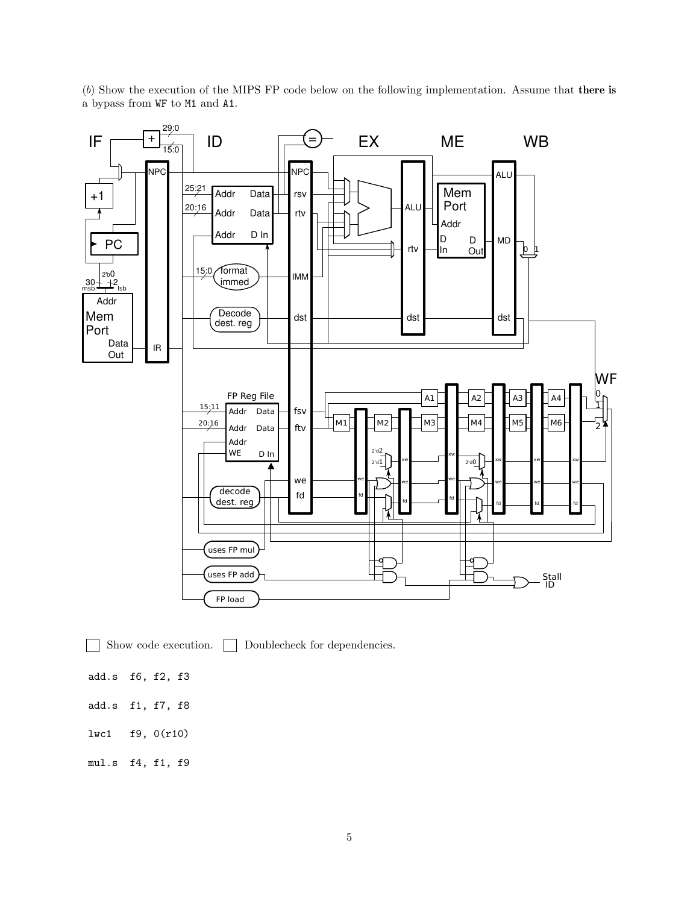

(*b*) Show the execution of the MIPS FP code below on the following implementation. Assume that there is a bypass from WF to M1 and A1.

Show code execution.  $\Box$  Doublecheck for dependencies.

- add.s f6, f2, f3
- add.s f1, f7, f8
- lwc1 f9, 0(r10)
- mul.s f4, f1, f9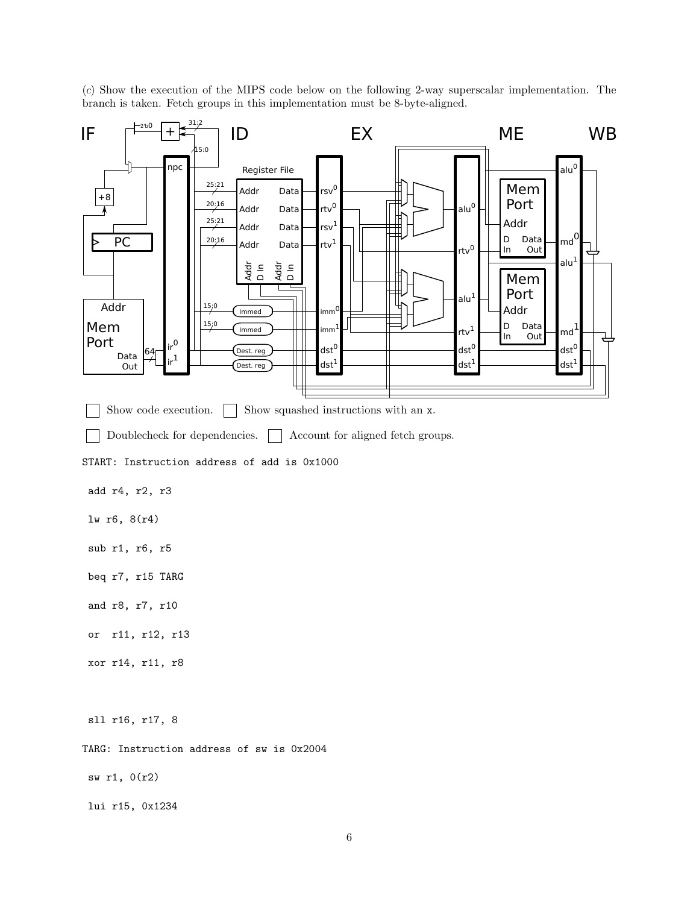(*c*) Show the execution of the MIPS code below on the following 2-way superscalar implementation. The branch is taken. Fetch groups in this implementation must be 8-byte-aligned.

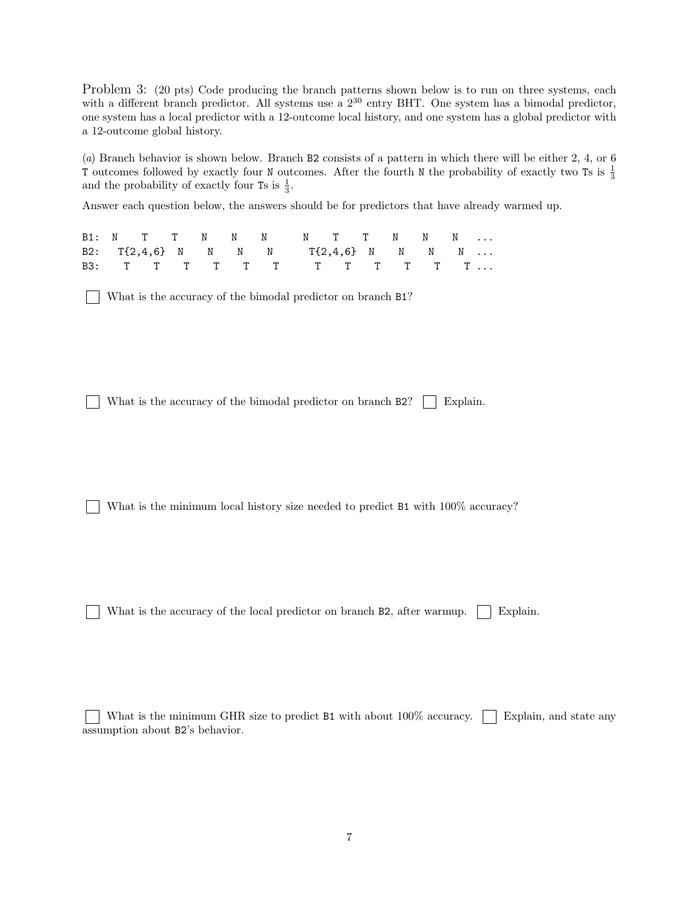Problem 3: (20 pts) Code producing the branch patterns shown below is to run on three systems, each with a different branch predictor. All systems use a  $2^{30}$  entry BHT. One system has a bimodal predictor, one system has a local predictor with a 12-outcome local history, and one system has a global predictor with a 12-outcome global history.

(*a*) Branch behavior is shown below. Branch B2 consists of a pattern in which there will be either 2, 4, or 6 T outcomes followed by exactly four N outcomes. After the fourth N the probability of exactly two Ts is  $\frac{1}{3}$ and the probability of exactly four Ts is  $\frac{1}{3}$ .

Answer each question below, the answers should be for predictors that have already warmed up.

|  |  |  | B1: N T T N N N N N T T N N N       |  |  |  |
|--|--|--|-------------------------------------|--|--|--|
|  |  |  | B2: T{2,4,6} N N N N T{2,4,6} N N N |  |  |  |
|  |  |  |                                     |  |  |  |

What is the accuracy of the bimodal predictor on branch B1?

What is the accuracy of the bimodal predictor on branch  $B2$ ? Explain.

What is the minimum local history size needed to predict B1 with  $100\%$  accuracy?

What is the accuracy of the local predictor on branch B2, after warmup.  $\Box$  Explain.

What is the minimum GHR size to predict B1 with about  $100\%$  accuracy. Figures and state any assumption about B2's behavior.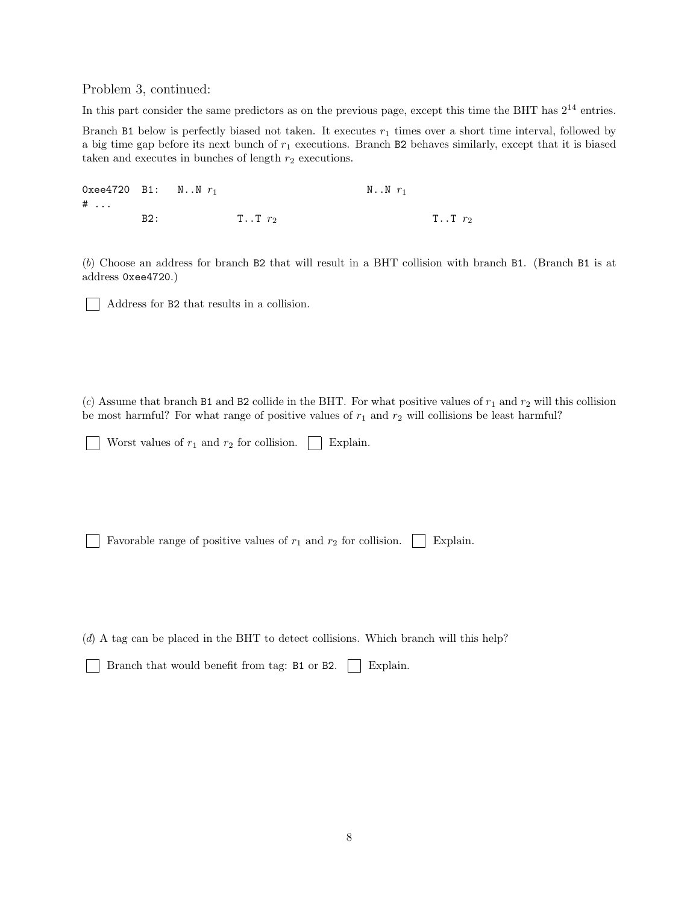Problem 3, continued:

In this part consider the same predictors as on the previous page, except this time the BHT has  $2^{14}$  entries.

Branch B1 below is perfectly biased not taken. It executes  $r_1$  times over a short time interval, followed by a big time gap before its next bunch of  $r_1$  executions. Branch B2 behaves similarly, except that it is biased taken and executes in bunches of length  $r_2$  executions.

0xee4720 B1:  $N.N r_1$  N...N  $r_1$ # ... B2: T..T  $r_2$  T..T  $r_2$ 

(*b*) Choose an address for branch B2 that will result in a BHT collision with branch B1. (Branch B1 is at address 0xee4720.)

Address for B2 that results in a collision.

(*c*) Assume that branch B1 and B2 collide in the BHT. For what positive values of  $r_1$  and  $r_2$  will this collision be most harmful? For what range of positive values of  $r_1$  and  $r_2$  will collisions be least harmful?

Worst values of  $r_1$  and  $r_2$  for collision.  $\vert$  Explain.

Favorable range of positive values of  $r_1$  and  $r_2$  for collision.  $\vert$  Explain.

(*d*) A tag can be placed in the BHT to detect collisions. Which branch will this help?

Branch that would benefit from tag: B1 or B2. | Explain.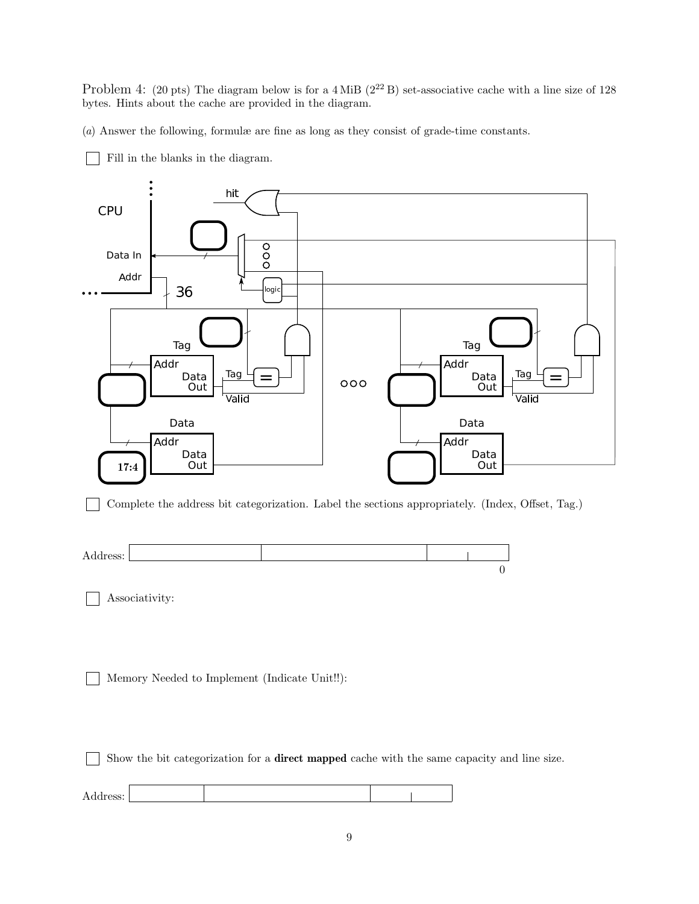Problem 4: (20 pts) The diagram below is for a 4 MiB  $(2^{22}B)$  set-associative cache with a line size of 128 bytes. Hints about the cache are provided in the diagram.

(*a*) Answer the following, formulæ are fine as long as they consist of grade-time constants.



Fill in the blanks in the diagram.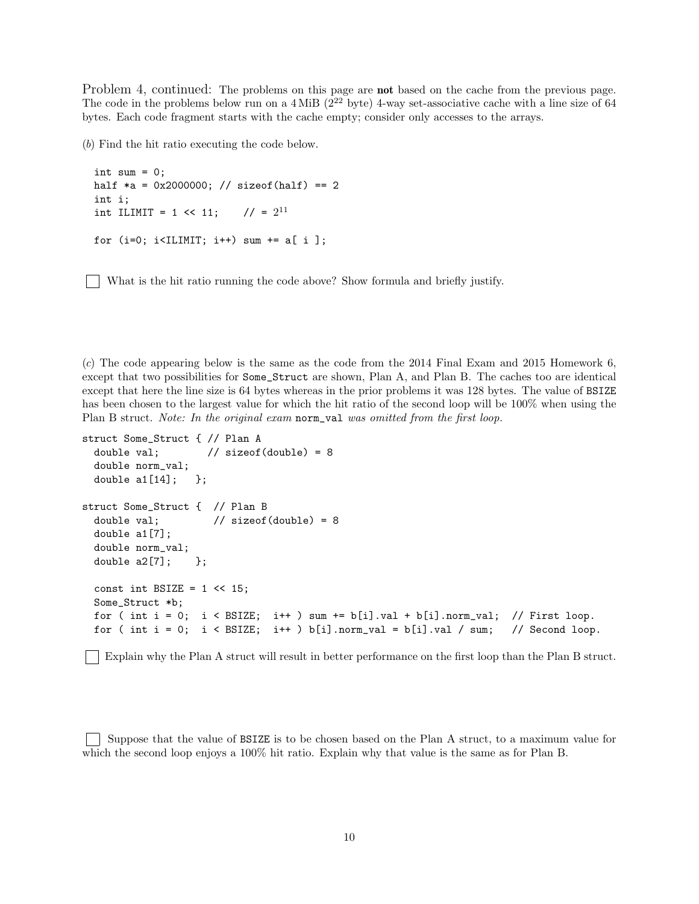Problem 4, continued: The problems on this page are **not** based on the cache from the previous page. The code in the problems below run on a  $4 \text{ MiB}$  ( $2^{22}$  byte) 4-way set-associative cache with a line size of 64 bytes. Each code fragment starts with the cache empty; consider only accesses to the arrays.

(*b*) Find the hit ratio executing the code below.

```
int sum = 0;
half *a = 0x2000000; // sizeof(half) == 2
int i;
int ILIMIT = 1 \leq 11;
                         11 = 2^{11}for (i=0; i<IILMIT; i++) sum += a[i];
```
What is the hit ratio running the code above? Show formula and briefly justify.

(*c*) The code appearing below is the same as the code from the 2014 Final Exam and 2015 Homework 6, except that two possibilities for Some\_Struct are shown, Plan A, and Plan B. The caches too are identical except that here the line size is 64 bytes whereas in the prior problems it was 128 bytes. The value of BSIZE has been chosen to the largest value for which the hit ratio of the second loop will be  $100\%$  when using the Plan B struct. *Note: In the original exam* norm\_val *was omitted from the first loop.*

```
struct Some_Struct { // Plan A
  double val; \frac{1}{2} // sizeof(double) = 8
  double norm_val;
  double a1[14]; };
struct Some_Struct { // Plan B
  double val; \frac{1}{2} // sizeof(double) = 8
  double a1[7];
  double norm_val;
  double a2[7]; };
  const int BSIZE = 1 \leq 15;
  Some_Struct *b;
  for ( int i = 0; i < BSIZE; i++) sum += b[i].val + b[i].norm_val; // First loop.
  for ( int i = 0; i < BSIZE; i++ ) b[i].norm_val = b[i].val / sum; // Second loop.
```
Explain why the Plan A struct will result in better performance on the first loop than the Plan B struct.

Suppose that the value of BSIZE is to be chosen based on the Plan A struct, to a maximum value for which the second loop enjoys a 100% hit ratio. Explain why that value is the same as for Plan B.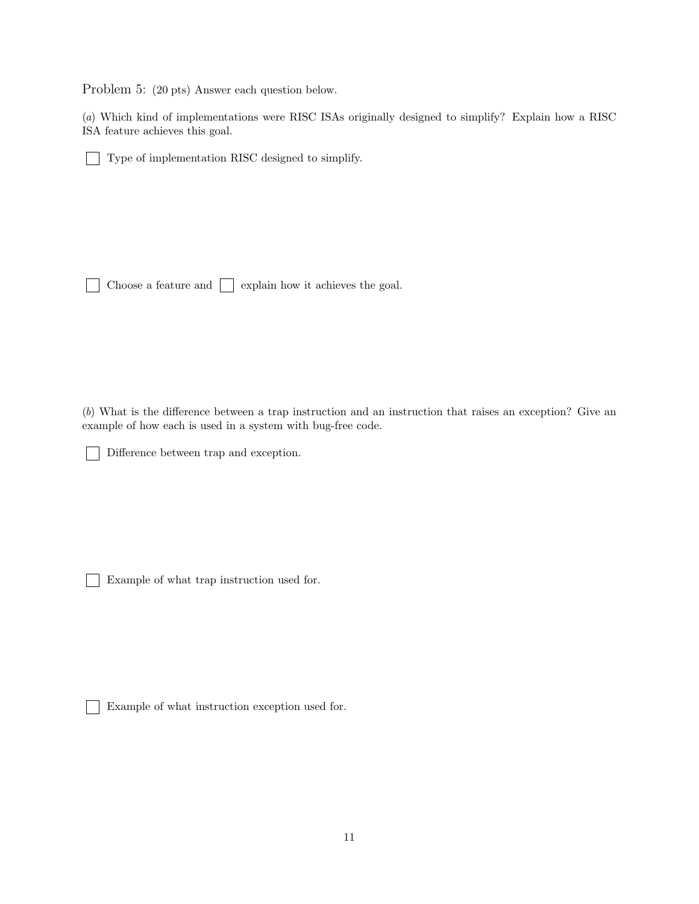Problem 5: (20 pts) Answer each question below.

(*a*) Which kind of implementations were RISC ISAs originally designed to simplify? Explain how a RISC ISA feature achieves this goal.

Type of implementation RISC designed to simplify.

Choose a feature and  $\Box$  explain how it achieves the goal.  $\mathbf{I}$ 

(*b*) What is the difference between a trap instruction and an instruction that raises an exception? Give an example of how each is used in a system with bug-free code.

Difference between trap and exception.

Example of what trap instruction used for.

Example of what instruction exception used for.

 $\mathbf{L}$